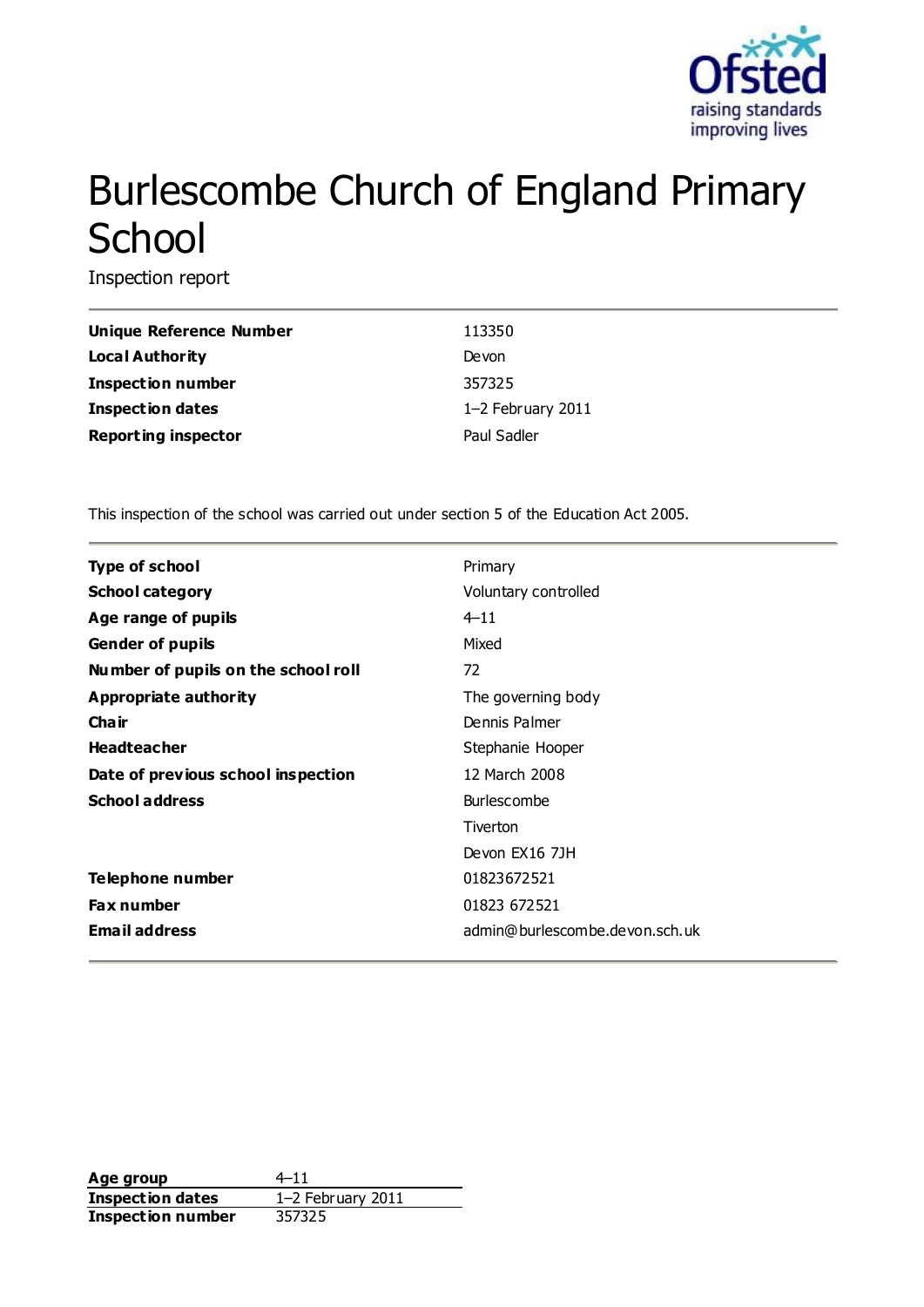

# Burlescombe Church of England Primary **School**

Inspection report

| <b>Unique Reference Number</b> | 113350            |
|--------------------------------|-------------------|
| Local Authority                | Devon             |
| <b>Inspection number</b>       | 357325            |
| Inspection dates               | 1-2 February 2011 |
| <b>Reporting inspector</b>     | Paul Sadler       |

This inspection of the school was carried out under section 5 of the Education Act 2005.

| <b>Type of school</b>               | Primary                        |
|-------------------------------------|--------------------------------|
| <b>School category</b>              | Voluntary controlled           |
| Age range of pupils                 | $4 - 11$                       |
| <b>Gender of pupils</b>             | Mixed                          |
| Number of pupils on the school roll | 72                             |
| Appropriate authority               | The governing body             |
| Cha ir                              | Dennis Palmer                  |
| <b>Headteacher</b>                  | Stephanie Hooper               |
| Date of previous school inspection  | 12 March 2008                  |
| <b>School address</b>               | <b>Burlescombe</b>             |
|                                     | Tiverton                       |
|                                     | Devon EX16 7JH                 |
| Telephone number                    | 01823672521                    |
| Fax number                          | 01823 672521                   |
| <b>Email address</b>                | admin@burlescombe.devon.sch.uk |

**Age group** 4–11 **Inspection dates** 1–2 February 2011 **Inspection number** 357325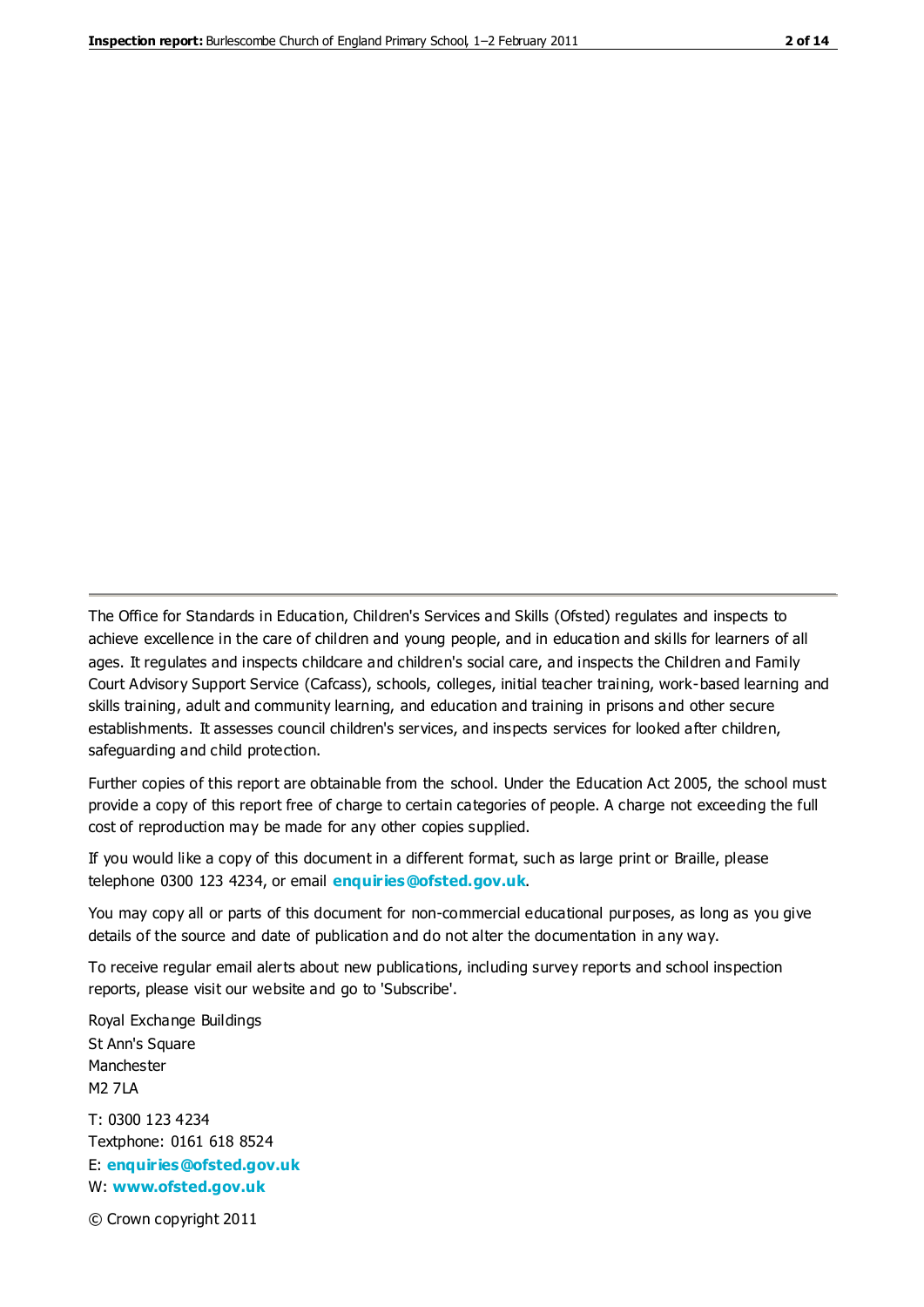The Office for Standards in Education, Children's Services and Skills (Ofsted) regulates and inspects to achieve excellence in the care of children and young people, and in education and skills for learners of all ages. It regulates and inspects childcare and children's social care, and inspects the Children and Family Court Advisory Support Service (Cafcass), schools, colleges, initial teacher training, work-based learning and skills training, adult and community learning, and education and training in prisons and other secure establishments. It assesses council children's services, and inspects services for looked after children, safeguarding and child protection.

Further copies of this report are obtainable from the school. Under the Education Act 2005, the school must provide a copy of this report free of charge to certain categories of people. A charge not exceeding the full cost of reproduction may be made for any other copies supplied.

If you would like a copy of this document in a different format, such as large print or Braille, please telephone 0300 123 4234, or email **[enquiries@ofsted.gov.uk](mailto:enquiries@ofsted.gov.uk)**.

You may copy all or parts of this document for non-commercial educational purposes, as long as you give details of the source and date of publication and do not alter the documentation in any way.

To receive regular email alerts about new publications, including survey reports and school inspection reports, please visit our website and go to 'Subscribe'.

Royal Exchange Buildings St Ann's Square Manchester M2 7LA T: 0300 123 4234 Textphone: 0161 618 8524 E: **[enquiries@ofsted.gov.uk](mailto:enquiries@ofsted.gov.uk)**

W: **[www.ofsted.gov.uk](http://www.ofsted.gov.uk/)**

© Crown copyright 2011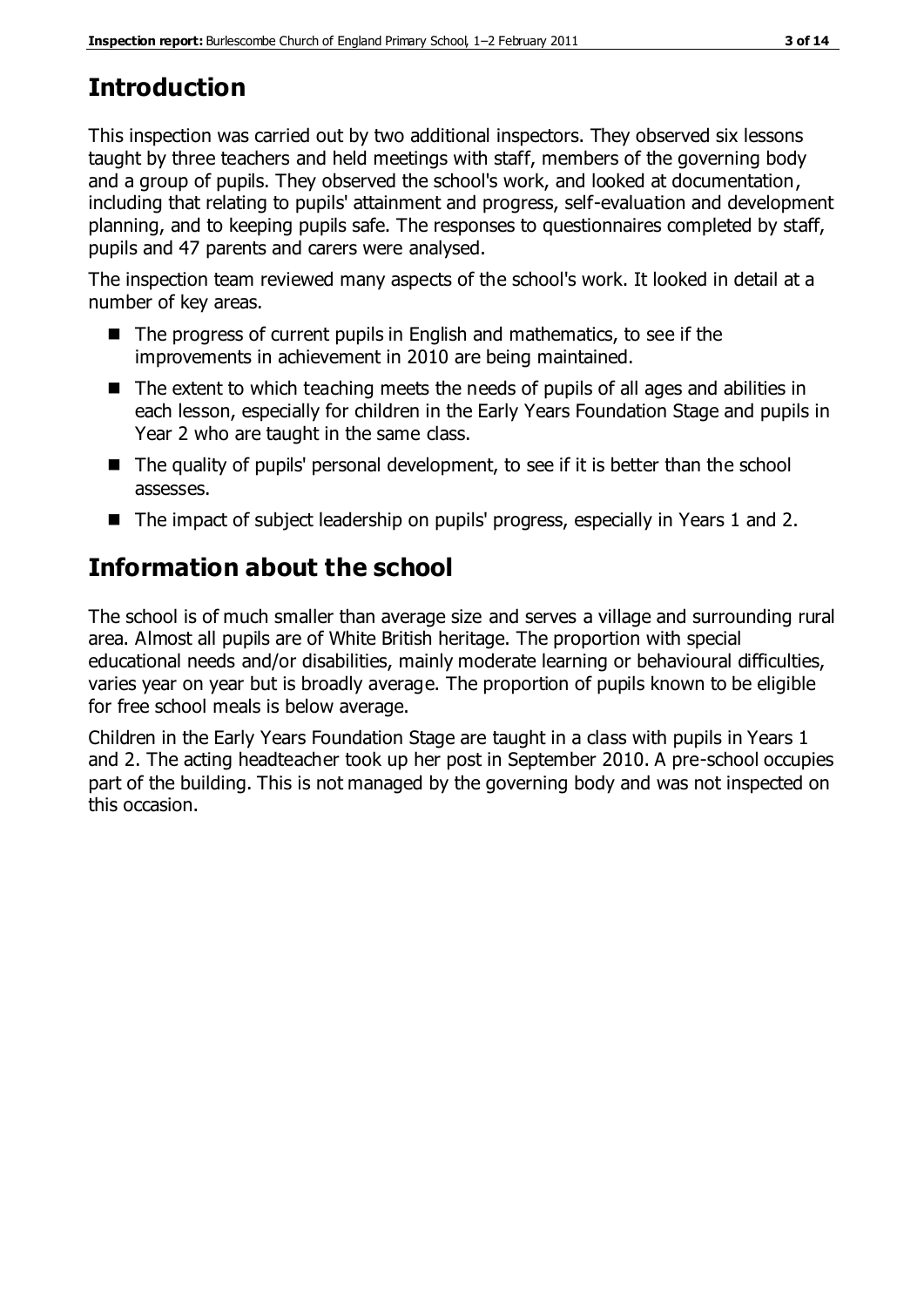# **Introduction**

This inspection was carried out by two additional inspectors. They observed six lessons taught by three teachers and held meetings with staff, members of the governing body and a group of pupils. They observed the school's work, and looked at documentation, including that relating to pupils' attainment and progress, self-evaluation and development planning, and to keeping pupils safe. The responses to questionnaires completed by staff, pupils and 47 parents and carers were analysed.

The inspection team reviewed many aspects of the school's work. It looked in detail at a number of key areas.

- The progress of current pupils in English and mathematics, to see if the improvements in achievement in 2010 are being maintained.
- The extent to which teaching meets the needs of pupils of all ages and abilities in each lesson, especially for children in the Early Years Foundation Stage and pupils in Year 2 who are taught in the same class.
- The quality of pupils' personal development, to see if it is better than the school assesses.
- The impact of subject leadership on pupils' progress, especially in Years 1 and 2.

# **Information about the school**

The school is of much smaller than average size and serves a village and surrounding rural area. Almost all pupils are of White British heritage. The proportion with special educational needs and/or disabilities, mainly moderate learning or behavioural difficulties, varies year on year but is broadly average. The proportion of pupils known to be eligible for free school meals is below average.

Children in the Early Years Foundation Stage are taught in a class with pupils in Years 1 and 2. The acting headteacher took up her post in September 2010. A pre-school occupies part of the building. This is not managed by the governing body and was not inspected on this occasion.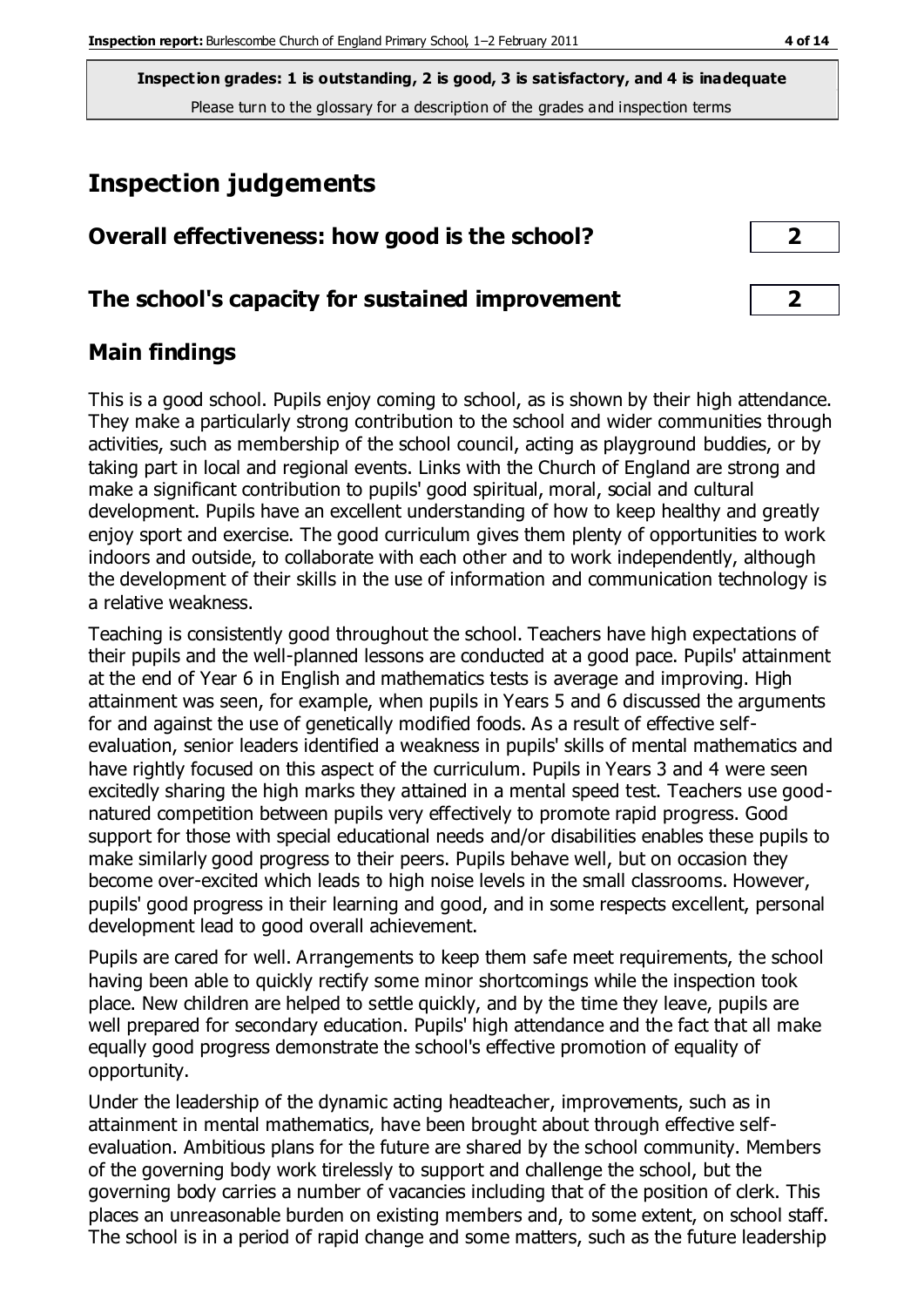**Inspection grades: 1 is outstanding, 2 is good, 3 is satisfactory, and 4 is inadequate** Please turn to the glossary for a description of the grades and inspection terms

# **Inspection judgements**

| Overall effectiveness: how good is the school? |  |
|------------------------------------------------|--|
|------------------------------------------------|--|

#### **The school's capacity for sustained improvement 2**

### **Main findings**

This is a good school. Pupils enjoy coming to school, as is shown by their high attendance. They make a particularly strong contribution to the school and wider communities through activities, such as membership of the school council, acting as playground buddies, or by taking part in local and regional events. Links with the Church of England are strong and make a significant contribution to pupils' good spiritual, moral, social and cultural development. Pupils have an excellent understanding of how to keep healthy and greatly enjoy sport and exercise. The good curriculum gives them plenty of opportunities to work indoors and outside, to collaborate with each other and to work independently, although the development of their skills in the use of information and communication technology is a relative weakness.

Teaching is consistently good throughout the school. Teachers have high expectations of their pupils and the well-planned lessons are conducted at a good pace. Pupils' attainment at the end of Year 6 in English and mathematics tests is average and improving. High attainment was seen, for example, when pupils in Years 5 and 6 discussed the arguments for and against the use of genetically modified foods. As a result of effective selfevaluation, senior leaders identified a weakness in pupils' skills of mental mathematics and have rightly focused on this aspect of the curriculum. Pupils in Years 3 and 4 were seen excitedly sharing the high marks they attained in a mental speed test. Teachers use goodnatured competition between pupils very effectively to promote rapid progress. Good support for those with special educational needs and/or disabilities enables these pupils to make similarly good progress to their peers. Pupils behave well, but on occasion they become over-excited which leads to high noise levels in the small classrooms. However, pupils' good progress in their learning and good, and in some respects excellent, personal development lead to good overall achievement.

Pupils are cared for well. Arrangements to keep them safe meet requirements, the school having been able to quickly rectify some minor shortcomings while the inspection took place. New children are helped to settle quickly, and by the time they leave, pupils are well prepared for secondary education. Pupils' high attendance and the fact that all make equally good progress demonstrate the school's effective promotion of equality of opportunity.

Under the leadership of the dynamic acting headteacher, improvements, such as in attainment in mental mathematics, have been brought about through effective selfevaluation. Ambitious plans for the future are shared by the school community. Members of the governing body work tirelessly to support and challenge the school, but the governing body carries a number of vacancies including that of the position of clerk. This places an unreasonable burden on existing members and, to some extent, on school staff. The school is in a period of rapid change and some matters, such as the future leadership

| 2 |
|---|
|   |
| n |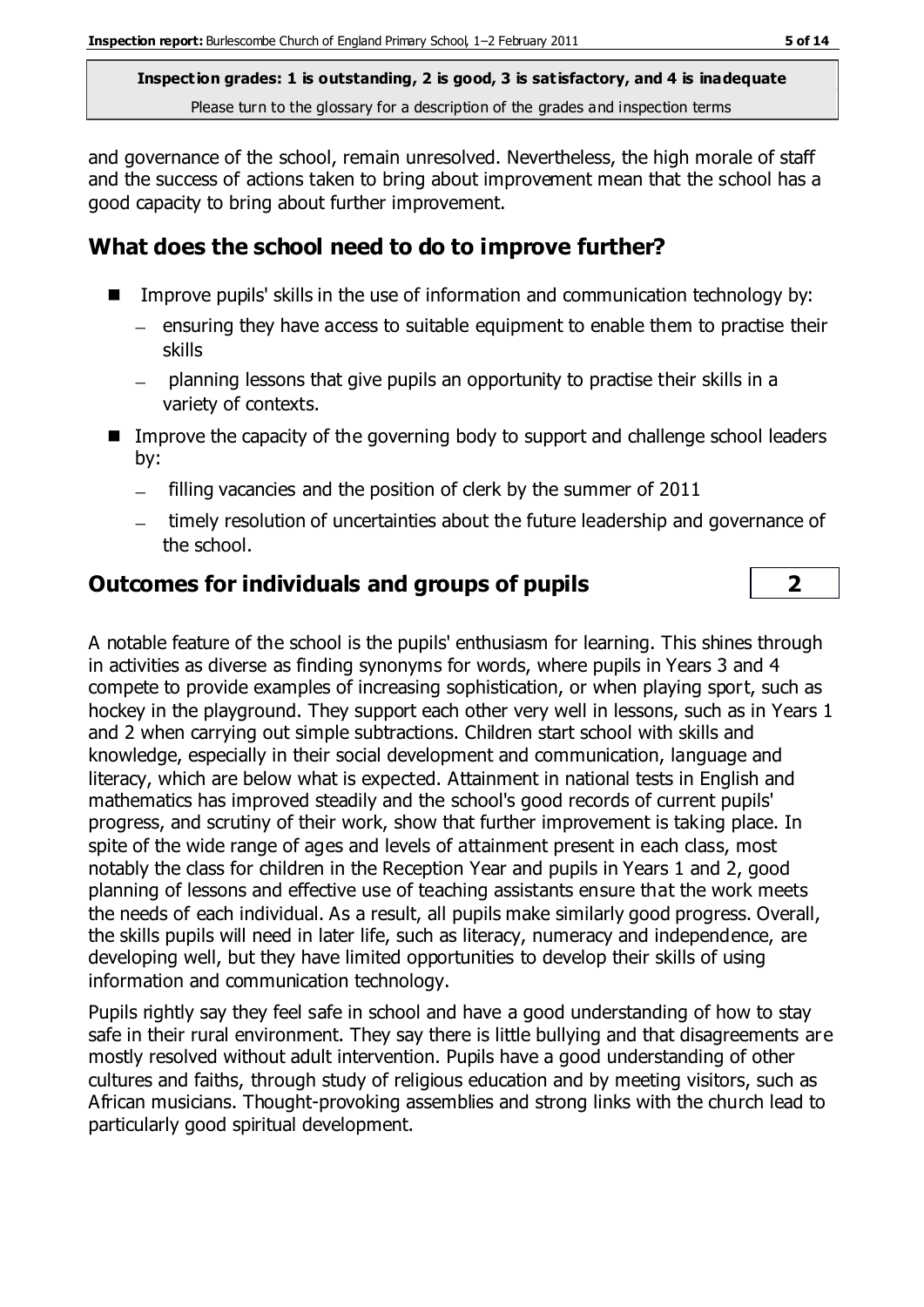**Inspection grades: 1 is outstanding, 2 is good, 3 is satisfactory, and 4 is inadequate** Please turn to the glossary for a description of the grades and inspection terms

and governance of the school, remain unresolved. Nevertheless, the high morale of staff and the success of actions taken to bring about improvement mean that the school has a good capacity to bring about further improvement.

## **What does the school need to do to improve further?**

- **IMPROVE PUPILS' skills in the use of information and communication technology by:** 
	- $-$  ensuring they have access to suitable equipment to enable them to practise their skills
	- planning lessons that give pupils an opportunity to practise their skills in a  $\frac{1}{2}$ variety of contexts.
- Improve the capacity of the governing body to support and challenge school leaders by:
	- filling vacancies and the position of clerk by the summer of 2011  $\equiv$
	- timely resolution of uncertainties about the future leadership and governance of the school.

#### **Outcomes for individuals and groups of pupils 2**

A notable feature of the school is the pupils' enthusiasm for learning. This shines through in activities as diverse as finding synonyms for words, where pupils in Years 3 and 4 compete to provide examples of increasing sophistication, or when playing sport, such as hockey in the playground. They support each other very well in lessons, such as in Years 1 and 2 when carrying out simple subtractions. Children start school with skills and knowledge, especially in their social development and communication, language and literacy, which are below what is expected. Attainment in national tests in English and mathematics has improved steadily and the school's good records of current pupils' progress, and scrutiny of their work, show that further improvement is taking place. In spite of the wide range of ages and levels of attainment present in each class, most notably the class for children in the Reception Year and pupils in Years 1 and 2, good planning of lessons and effective use of teaching assistants ensure that the work meets the needs of each individual. As a result, all pupils make similarly good progress. Overall, the skills pupils will need in later life, such as literacy, numeracy and independence, are developing well, but they have limited opportunities to develop their skills of using information and communication technology.

Pupils rightly say they feel safe in school and have a good understanding of how to stay safe in their rural environment. They say there is little bullying and that disagreements are mostly resolved without adult intervention. Pupils have a good understanding of other cultures and faiths, through study of religious education and by meeting visitors, such as African musicians. Thought-provoking assemblies and strong links with the church lead to particularly good spiritual development.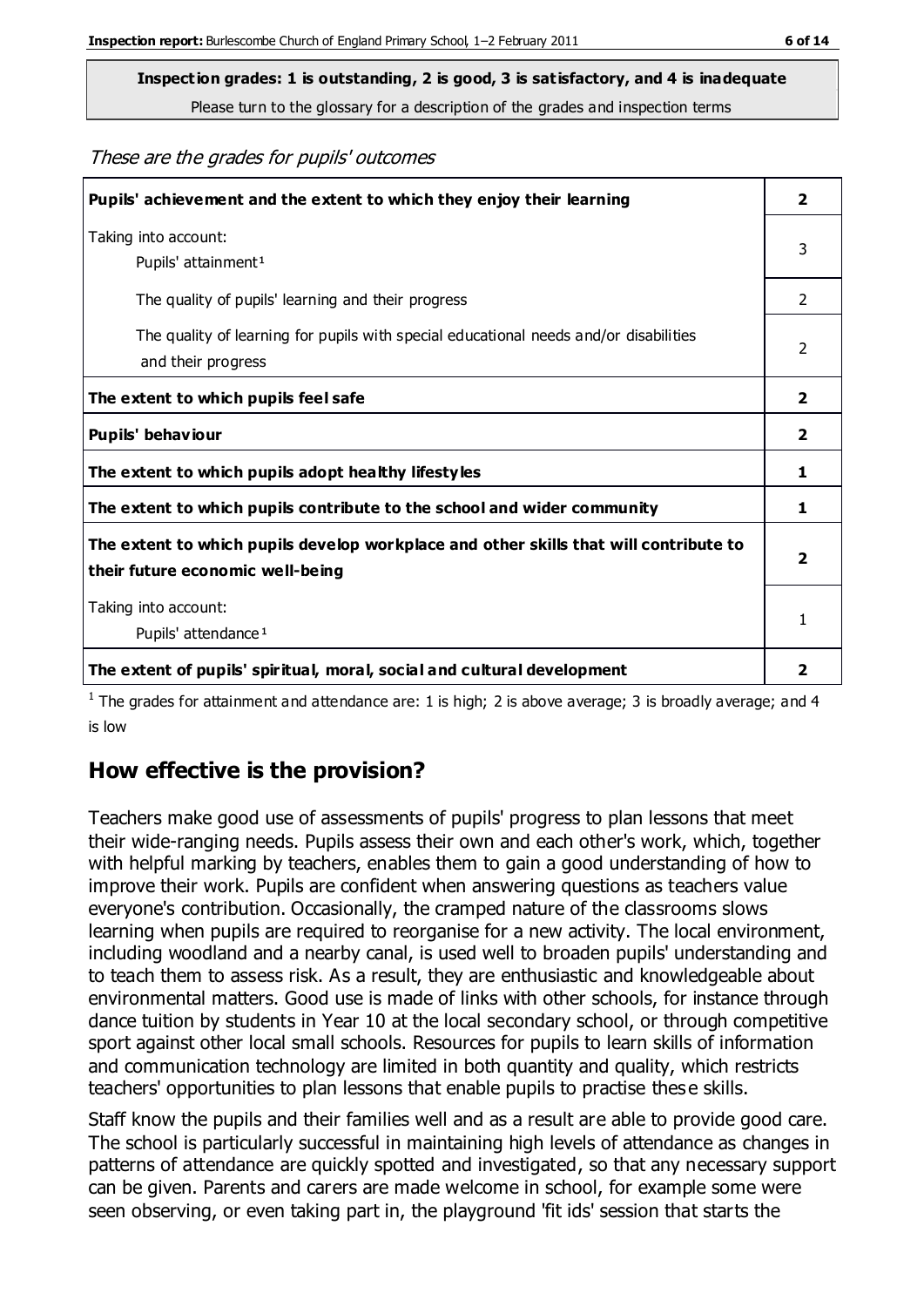**Inspection grades: 1 is outstanding, 2 is good, 3 is satisfactory, and 4 is inadequate**

Please turn to the glossary for a description of the grades and inspection terms

These are the grades for pupils' outcomes

| Pupils' achievement and the extent to which they enjoy their learning                                                     | $\overline{\mathbf{2}}$ |
|---------------------------------------------------------------------------------------------------------------------------|-------------------------|
| Taking into account:<br>Pupils' attainment <sup>1</sup>                                                                   | 3                       |
| The quality of pupils' learning and their progress                                                                        | $\mathcal{P}$           |
| The quality of learning for pupils with special educational needs and/or disabilities<br>and their progress               | $\mathfrak{p}$          |
| The extent to which pupils feel safe                                                                                      | 2                       |
| Pupils' behaviour                                                                                                         | 2                       |
| The extent to which pupils adopt healthy lifestyles                                                                       | 1                       |
| The extent to which pupils contribute to the school and wider community                                                   | 1                       |
| The extent to which pupils develop workplace and other skills that will contribute to<br>their future economic well-being |                         |
| Taking into account:                                                                                                      | 1                       |
| Pupils' attendance <sup>1</sup>                                                                                           |                         |
| The extent of pupils' spiritual, moral, social and cultural development                                                   | 2                       |

<sup>1</sup> The grades for attainment and attendance are: 1 is high; 2 is above average; 3 is broadly average; and 4 is low

## **How effective is the provision?**

Teachers make good use of assessments of pupils' progress to plan lessons that meet their wide-ranging needs. Pupils assess their own and each other's work, which, together with helpful marking by teachers, enables them to gain a good understanding of how to improve their work. Pupils are confident when answering questions as teachers value everyone's contribution. Occasionally, the cramped nature of the classrooms slows learning when pupils are required to reorganise for a new activity. The local environment, including woodland and a nearby canal, is used well to broaden pupils' understanding and to teach them to assess risk. As a result, they are enthusiastic and knowledgeable about environmental matters. Good use is made of links with other schools, for instance through dance tuition by students in Year 10 at the local secondary school, or through competitive sport against other local small schools. Resources for pupils to learn skills of information and communication technology are limited in both quantity and quality, which restricts teachers' opportunities to plan lessons that enable pupils to practise these skills.

Staff know the pupils and their families well and as a result are able to provide good care. The school is particularly successful in maintaining high levels of attendance as changes in patterns of attendance are quickly spotted and investigated, so that any necessary support can be given. Parents and carers are made welcome in school, for example some were seen observing, or even taking part in, the playground 'fit ids' session that starts the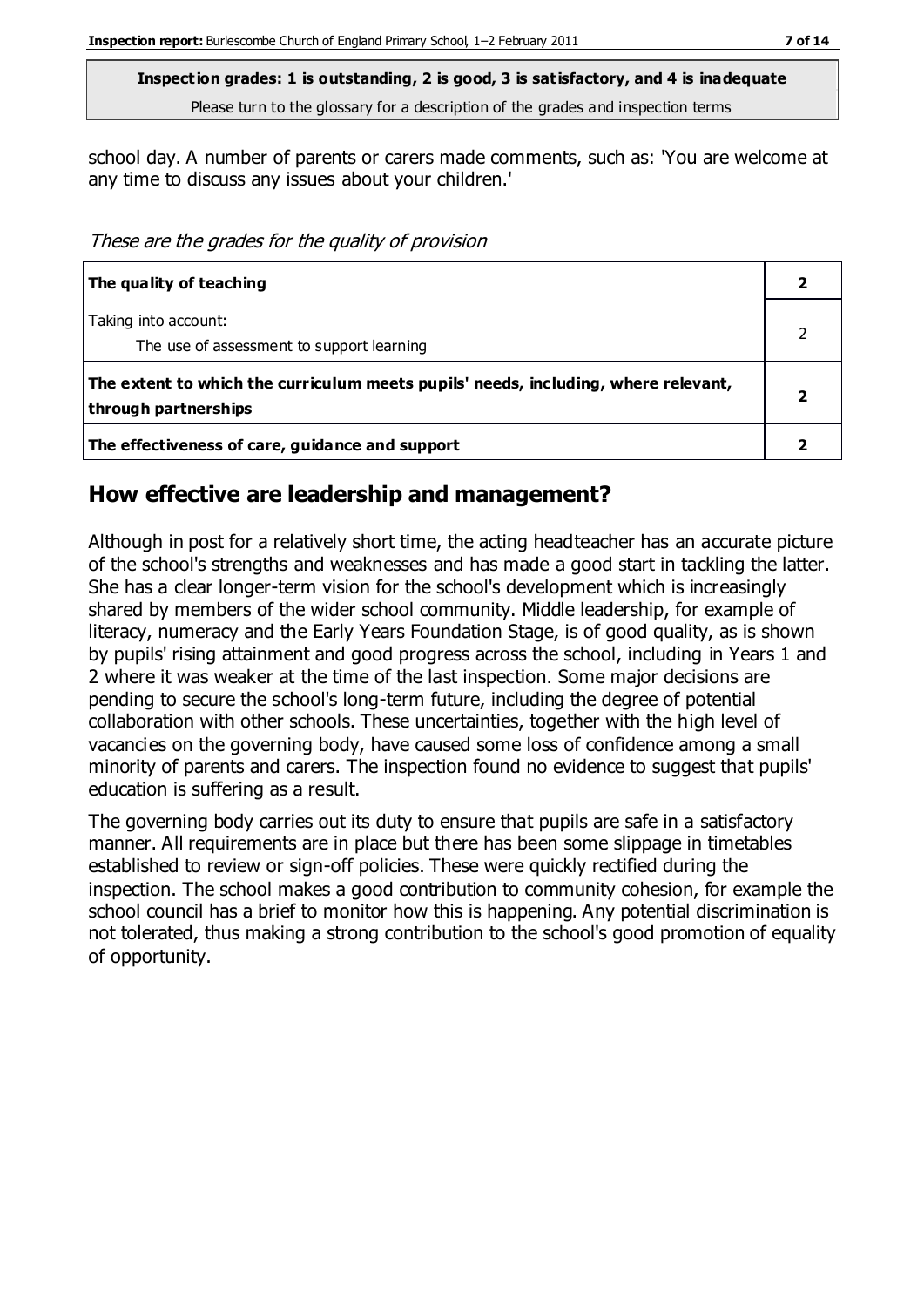**Inspection grades: 1 is outstanding, 2 is good, 3 is satisfactory, and 4 is inadequate** Please turn to the glossary for a description of the grades and inspection terms

school day. A number of parents or carers made comments, such as: 'You are welcome at any time to discuss any issues about your children.'

These are the grades for the quality of provision

| The quality of teaching                                                                                    |  |
|------------------------------------------------------------------------------------------------------------|--|
| Taking into account:<br>The use of assessment to support learning                                          |  |
| The extent to which the curriculum meets pupils' needs, including, where relevant,<br>through partnerships |  |
| The effectiveness of care, guidance and support                                                            |  |

#### **How effective are leadership and management?**

Although in post for a relatively short time, the acting headteacher has an accurate picture of the school's strengths and weaknesses and has made a good start in tackling the latter. She has a clear longer-term vision for the school's development which is increasingly shared by members of the wider school community. Middle leadership, for example of literacy, numeracy and the Early Years Foundation Stage, is of good quality, as is shown by pupils' rising attainment and good progress across the school, including in Years 1 and 2 where it was weaker at the time of the last inspection. Some major decisions are pending to secure the school's long-term future, including the degree of potential collaboration with other schools. These uncertainties, together with the high level of vacancies on the governing body, have caused some loss of confidence among a small minority of parents and carers. The inspection found no evidence to suggest that pupils' education is suffering as a result.

The governing body carries out its duty to ensure that pupils are safe in a satisfactory manner. All requirements are in place but there has been some slippage in timetables established to review or sign-off policies. These were quickly rectified during the inspection. The school makes a good contribution to community cohesion, for example the school council has a brief to monitor how this is happening. Any potential discrimination is not tolerated, thus making a strong contribution to the school's good promotion of equality of opportunity.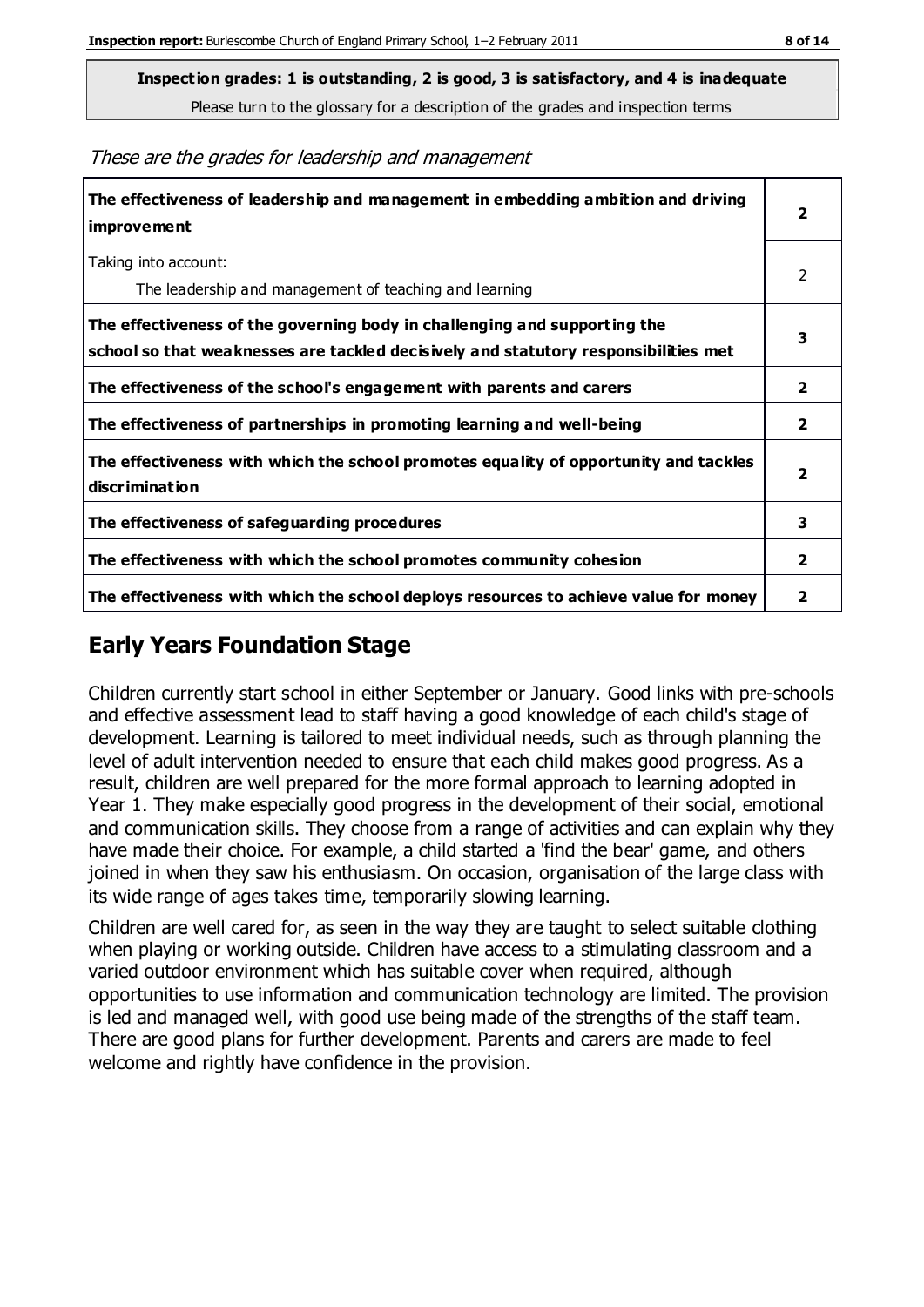**Inspection grades: 1 is outstanding, 2 is good, 3 is satisfactory, and 4 is inadequate**

Please turn to the glossary for a description of the grades and inspection terms

**The effectiveness of leadership and management in embedding ambition and driving improvement** Taking into account: The leadership and management of teaching and learning **The effectiveness of the governing body in challenging and supporting the school so that weaknesses are tackled decisively and statutory responsibilities met The effectiveness of the school's engagement with parents and carers 2 The effectiveness of partnerships in promoting learning and well-being 2 The effectiveness with which the school promotes equality of opportunity and tackles discrimination The effectiveness of safeguarding procedures 3 The effectiveness with which the school promotes community cohesion 2 The effectiveness with which the school deploys resources to achieve value for money 2**

These are the grades for leadership and management

## **Early Years Foundation Stage**

Children currently start school in either September or January. Good links with pre-schools and effective assessment lead to staff having a good knowledge of each child's stage of development. Learning is tailored to meet individual needs, such as through planning the level of adult intervention needed to ensure that each child makes good progress. As a result, children are well prepared for the more formal approach to learning adopted in Year 1. They make especially good progress in the development of their social, emotional and communication skills. They choose from a range of activities and can explain why they have made their choice. For example, a child started a 'find the bear' game, and others joined in when they saw his enthusiasm. On occasion, organisation of the large class with its wide range of ages takes time, temporarily slowing learning.

Children are well cared for, as seen in the way they are taught to select suitable clothing when playing or working outside. Children have access to a stimulating classroom and a varied outdoor environment which has suitable cover when required, although opportunities to use information and communication technology are limited. The provision is led and managed well, with good use being made of the strengths of the staff team. There are good plans for further development. Parents and carers are made to feel welcome and rightly have confidence in the provision.

**2**

2

**3**

**2**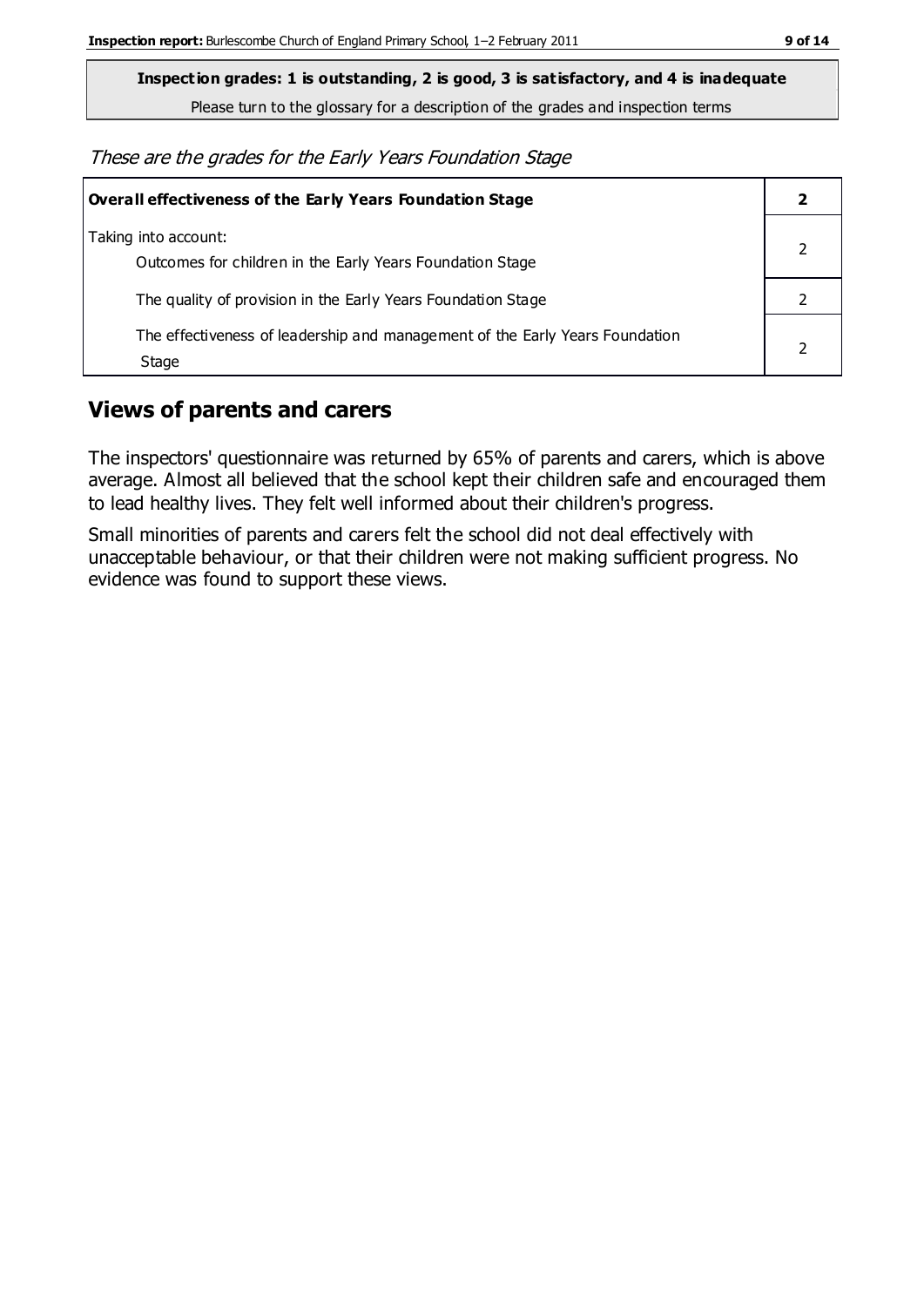**Inspection grades: 1 is outstanding, 2 is good, 3 is satisfactory, and 4 is inadequate**

Please turn to the glossary for a description of the grades and inspection terms

These are the grades for the Early Years Foundation Stage

| <b>Overall effectiveness of the Early Years Foundation Stage</b>                      |  |
|---------------------------------------------------------------------------------------|--|
| Taking into account:<br>Outcomes for children in the Early Years Foundation Stage     |  |
| The quality of provision in the Early Years Foundation Stage                          |  |
| The effectiveness of leadership and management of the Early Years Foundation<br>Stage |  |

### **Views of parents and carers**

The inspectors' questionnaire was returned by 65% of parents and carers, which is above average. Almost all believed that the school kept their children safe and encouraged them to lead healthy lives. They felt well informed about their children's progress.

Small minorities of parents and carers felt the school did not deal effectively with unacceptable behaviour, or that their children were not making sufficient progress. No evidence was found to support these views.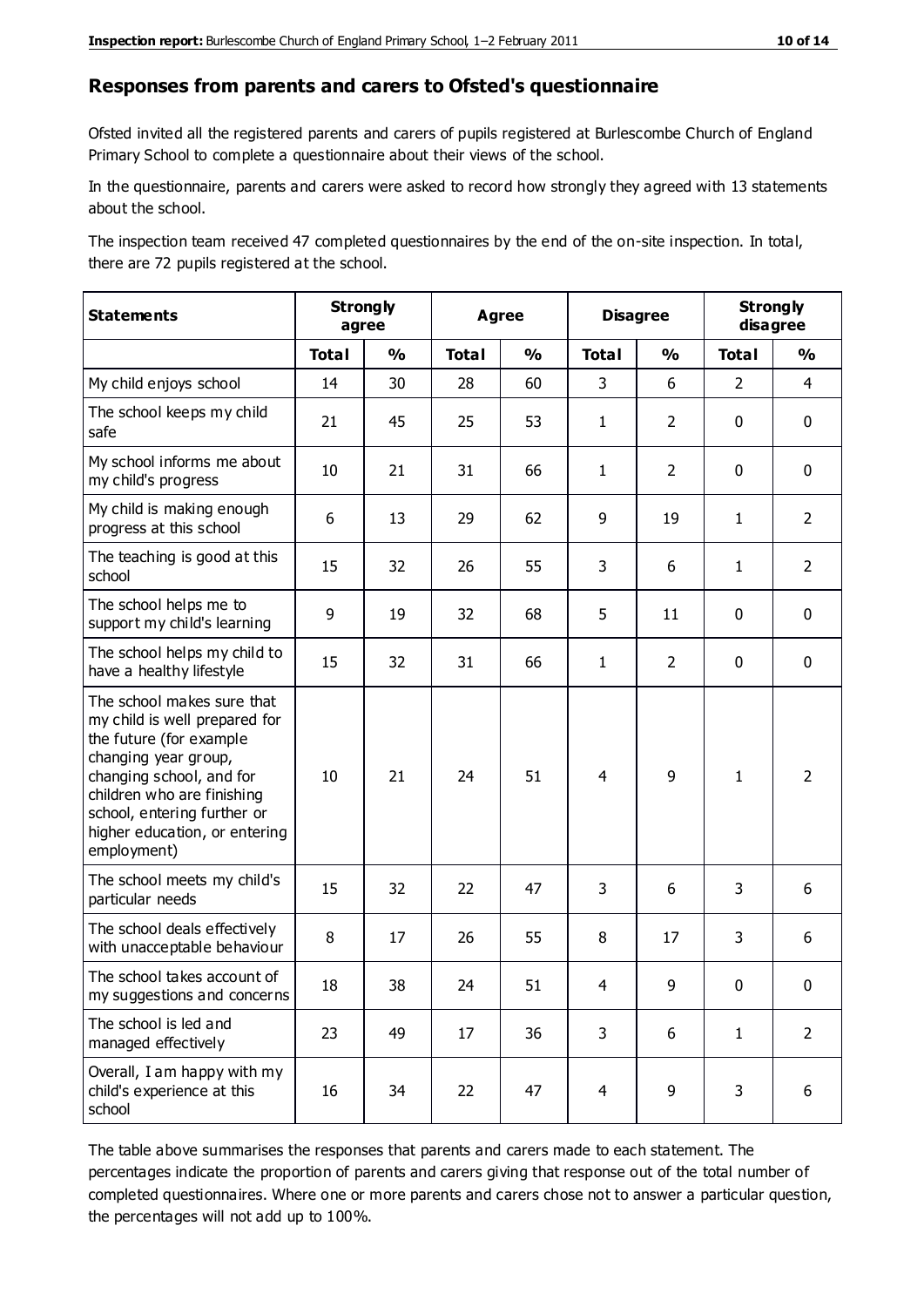#### **Responses from parents and carers to Ofsted's questionnaire**

Ofsted invited all the registered parents and carers of pupils registered at Burlescombe Church of England Primary School to complete a questionnaire about their views of the school.

In the questionnaire, parents and carers were asked to record how strongly they agreed with 13 statements about the school.

The inspection team received 47 completed questionnaires by the end of the on-site inspection. In total, there are 72 pupils registered at the school.

| <b>Statements</b>                                                                                                                                                                                                                                       | <b>Strongly</b><br>agree |               |              | Agree         |                | <b>Disagree</b> |                | <b>Strongly</b><br>disagree |  |
|---------------------------------------------------------------------------------------------------------------------------------------------------------------------------------------------------------------------------------------------------------|--------------------------|---------------|--------------|---------------|----------------|-----------------|----------------|-----------------------------|--|
|                                                                                                                                                                                                                                                         | <b>Total</b>             | $\frac{1}{2}$ | <b>Total</b> | $\frac{1}{2}$ | <b>Total</b>   | $\frac{0}{0}$   | <b>Total</b>   | $\frac{1}{2}$               |  |
| My child enjoys school                                                                                                                                                                                                                                  | 14                       | 30            | 28           | 60            | 3              | 6               | $\overline{2}$ | $\overline{4}$              |  |
| The school keeps my child<br>safe                                                                                                                                                                                                                       | 21                       | 45            | 25           | 53            | $\mathbf{1}$   | $\overline{2}$  | $\mathbf 0$    | $\mathbf 0$                 |  |
| My school informs me about<br>my child's progress                                                                                                                                                                                                       | 10                       | 21            | 31           | 66            | $\mathbf{1}$   | $\overline{2}$  | $\mathbf 0$    | $\mathbf 0$                 |  |
| My child is making enough<br>progress at this school                                                                                                                                                                                                    | 6                        | 13            | 29           | 62            | 9              | 19              | $\mathbf{1}$   | $\overline{2}$              |  |
| The teaching is good at this<br>school                                                                                                                                                                                                                  | 15                       | 32            | 26           | 55            | 3              | 6               | $\mathbf{1}$   | $\overline{2}$              |  |
| The school helps me to<br>support my child's learning                                                                                                                                                                                                   | 9                        | 19            | 32           | 68            | 5              | 11              | $\mathbf 0$    | $\mathbf 0$                 |  |
| The school helps my child to<br>have a healthy lifestyle                                                                                                                                                                                                | 15                       | 32            | 31           | 66            | $\mathbf{1}$   | $\overline{2}$  | $\mathbf 0$    | $\mathbf 0$                 |  |
| The school makes sure that<br>my child is well prepared for<br>the future (for example<br>changing year group,<br>changing school, and for<br>children who are finishing<br>school, entering further or<br>higher education, or entering<br>employment) | 10                       | 21            | 24           | 51            | $\overline{4}$ | 9               | $\mathbf{1}$   | $\overline{2}$              |  |
| The school meets my child's<br>particular needs                                                                                                                                                                                                         | 15                       | 32            | 22           | 47            | 3              | 6               | 3              | 6                           |  |
| The school deals effectively<br>with unacceptable behaviour                                                                                                                                                                                             | 8                        | 17            | 26           | 55            | 8              | 17              | 3              | 6                           |  |
| The school takes account of<br>my suggestions and concerns                                                                                                                                                                                              | 18                       | 38            | 24           | 51            | 4              | 9               | $\mathbf 0$    | $\mathbf{0}$                |  |
| The school is led and<br>managed effectively                                                                                                                                                                                                            | 23                       | 49            | 17           | 36            | 3              | 6               | $\mathbf{1}$   | $\overline{2}$              |  |
| Overall, I am happy with my<br>child's experience at this<br>school                                                                                                                                                                                     | 16                       | 34            | 22           | 47            | $\overline{4}$ | 9               | 3              | 6                           |  |

The table above summarises the responses that parents and carers made to each statement. The percentages indicate the proportion of parents and carers giving that response out of the total number of completed questionnaires. Where one or more parents and carers chose not to answer a particular question, the percentages will not add up to 100%.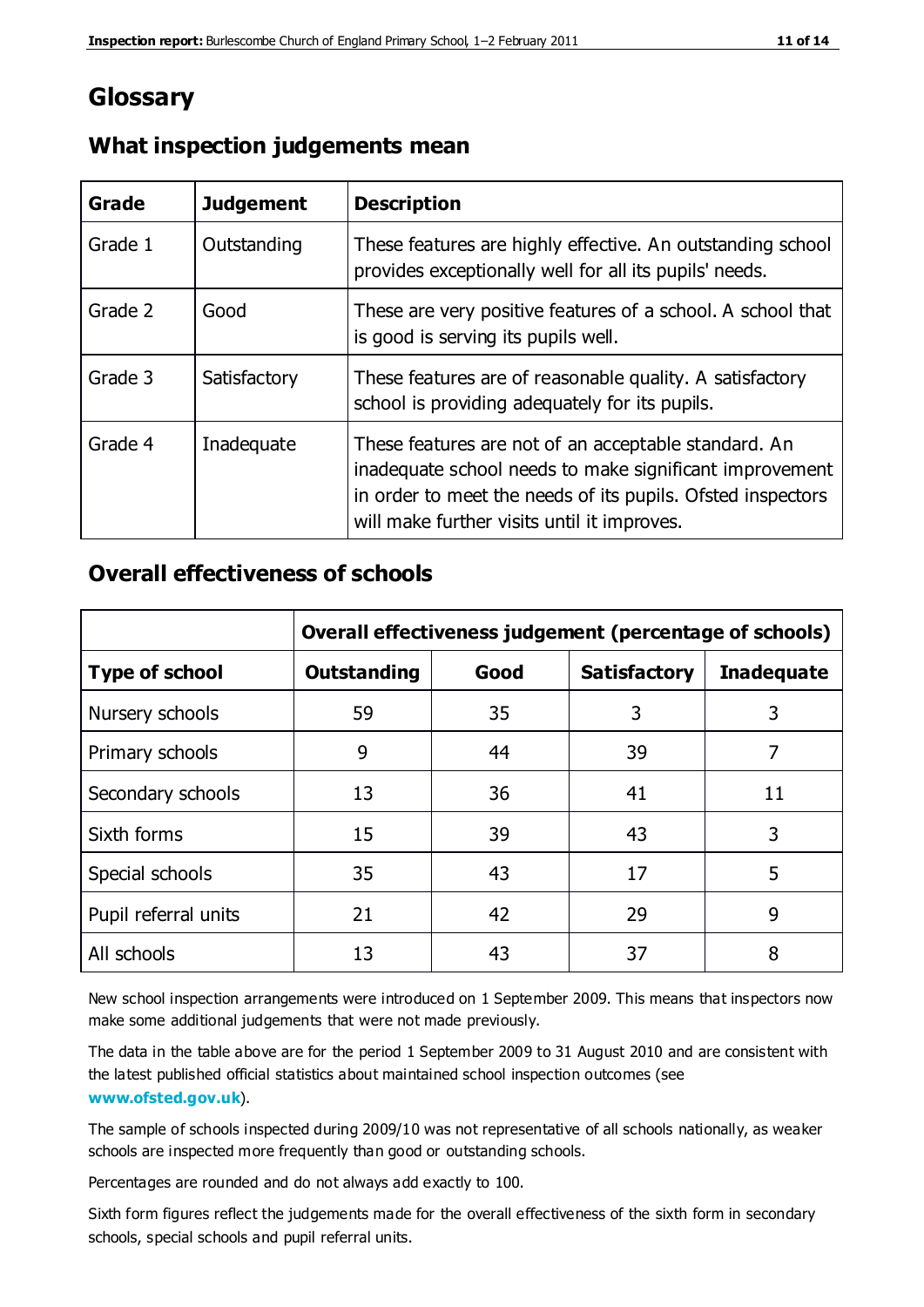## **Glossary**

| Grade   | <b>Judgement</b> | <b>Description</b>                                                                                                                                                                                                            |
|---------|------------------|-------------------------------------------------------------------------------------------------------------------------------------------------------------------------------------------------------------------------------|
| Grade 1 | Outstanding      | These features are highly effective. An outstanding school<br>provides exceptionally well for all its pupils' needs.                                                                                                          |
| Grade 2 | Good             | These are very positive features of a school. A school that<br>is good is serving its pupils well.                                                                                                                            |
| Grade 3 | Satisfactory     | These features are of reasonable quality. A satisfactory<br>school is providing adequately for its pupils.                                                                                                                    |
| Grade 4 | Inadequate       | These features are not of an acceptable standard. An<br>inadequate school needs to make significant improvement<br>in order to meet the needs of its pupils. Ofsted inspectors<br>will make further visits until it improves. |

#### **What inspection judgements mean**

#### **Overall effectiveness of schools**

|                       | Overall effectiveness judgement (percentage of schools) |      |                     |                   |
|-----------------------|---------------------------------------------------------|------|---------------------|-------------------|
| <b>Type of school</b> | <b>Outstanding</b>                                      | Good | <b>Satisfactory</b> | <b>Inadequate</b> |
| Nursery schools       | 59                                                      | 35   | 3                   | 3                 |
| Primary schools       | 9                                                       | 44   | 39                  | 7                 |
| Secondary schools     | 13                                                      | 36   | 41                  | 11                |
| Sixth forms           | 15                                                      | 39   | 43                  | 3                 |
| Special schools       | 35                                                      | 43   | 17                  | 5                 |
| Pupil referral units  | 21                                                      | 42   | 29                  | 9                 |
| All schools           | 13                                                      | 43   | 37                  | 8                 |

New school inspection arrangements were introduced on 1 September 2009. This means that inspectors now make some additional judgements that were not made previously.

The data in the table above are for the period 1 September 2009 to 31 August 2010 and are consistent with the latest published official statistics about maintained school inspection outcomes (see **[www.ofsted.gov.uk](http://www.ofsted.gov.uk/)**).

The sample of schools inspected during 2009/10 was not representative of all schools nationally, as weaker schools are inspected more frequently than good or outstanding schools.

Percentages are rounded and do not always add exactly to 100.

Sixth form figures reflect the judgements made for the overall effectiveness of the sixth form in secondary schools, special schools and pupil referral units.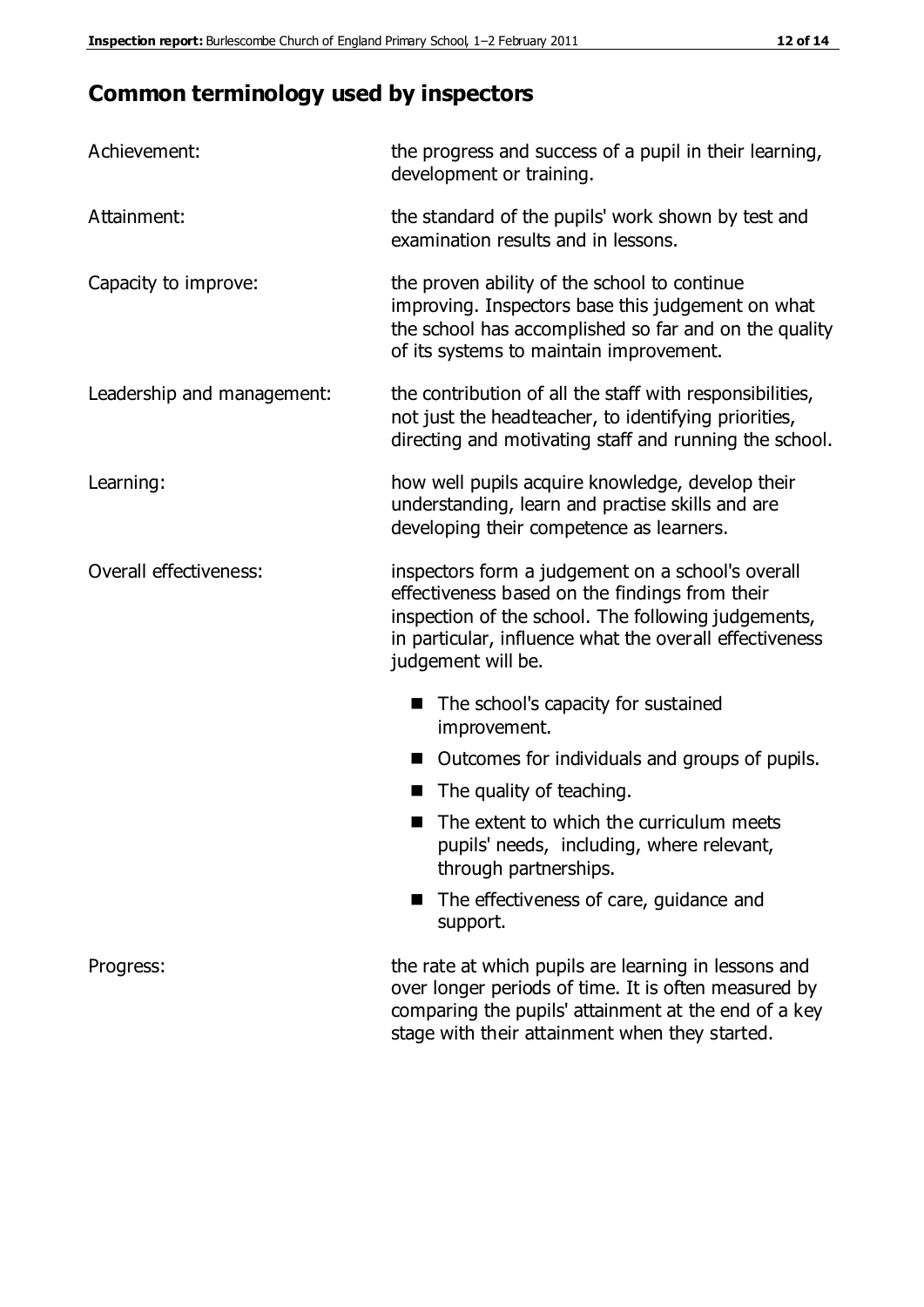# **Common terminology used by inspectors**

| Achievement:               | the progress and success of a pupil in their learning,<br>development or training.                                                                                                                                                          |  |  |
|----------------------------|---------------------------------------------------------------------------------------------------------------------------------------------------------------------------------------------------------------------------------------------|--|--|
| Attainment:                | the standard of the pupils' work shown by test and<br>examination results and in lessons.                                                                                                                                                   |  |  |
| Capacity to improve:       | the proven ability of the school to continue<br>improving. Inspectors base this judgement on what<br>the school has accomplished so far and on the quality<br>of its systems to maintain improvement.                                       |  |  |
| Leadership and management: | the contribution of all the staff with responsibilities,<br>not just the headteacher, to identifying priorities,<br>directing and motivating staff and running the school.                                                                  |  |  |
| Learning:                  | how well pupils acquire knowledge, develop their<br>understanding, learn and practise skills and are<br>developing their competence as learners.                                                                                            |  |  |
| Overall effectiveness:     | inspectors form a judgement on a school's overall<br>effectiveness based on the findings from their<br>inspection of the school. The following judgements,<br>in particular, influence what the overall effectiveness<br>judgement will be. |  |  |
|                            | The school's capacity for sustained<br>improvement.                                                                                                                                                                                         |  |  |
|                            | Outcomes for individuals and groups of pupils.                                                                                                                                                                                              |  |  |
|                            | The quality of teaching.                                                                                                                                                                                                                    |  |  |
|                            | The extent to which the curriculum meets<br>pupils' needs, including, where relevant,<br>through partnerships.                                                                                                                              |  |  |
|                            | The effectiveness of care, guidance and<br>support.                                                                                                                                                                                         |  |  |
| Progress:                  | the rate at which pupils are learning in lessons and<br>over longer periods of time. It is often measured by<br>comparing the pupils' attainment at the end of a key                                                                        |  |  |

stage with their attainment when they started.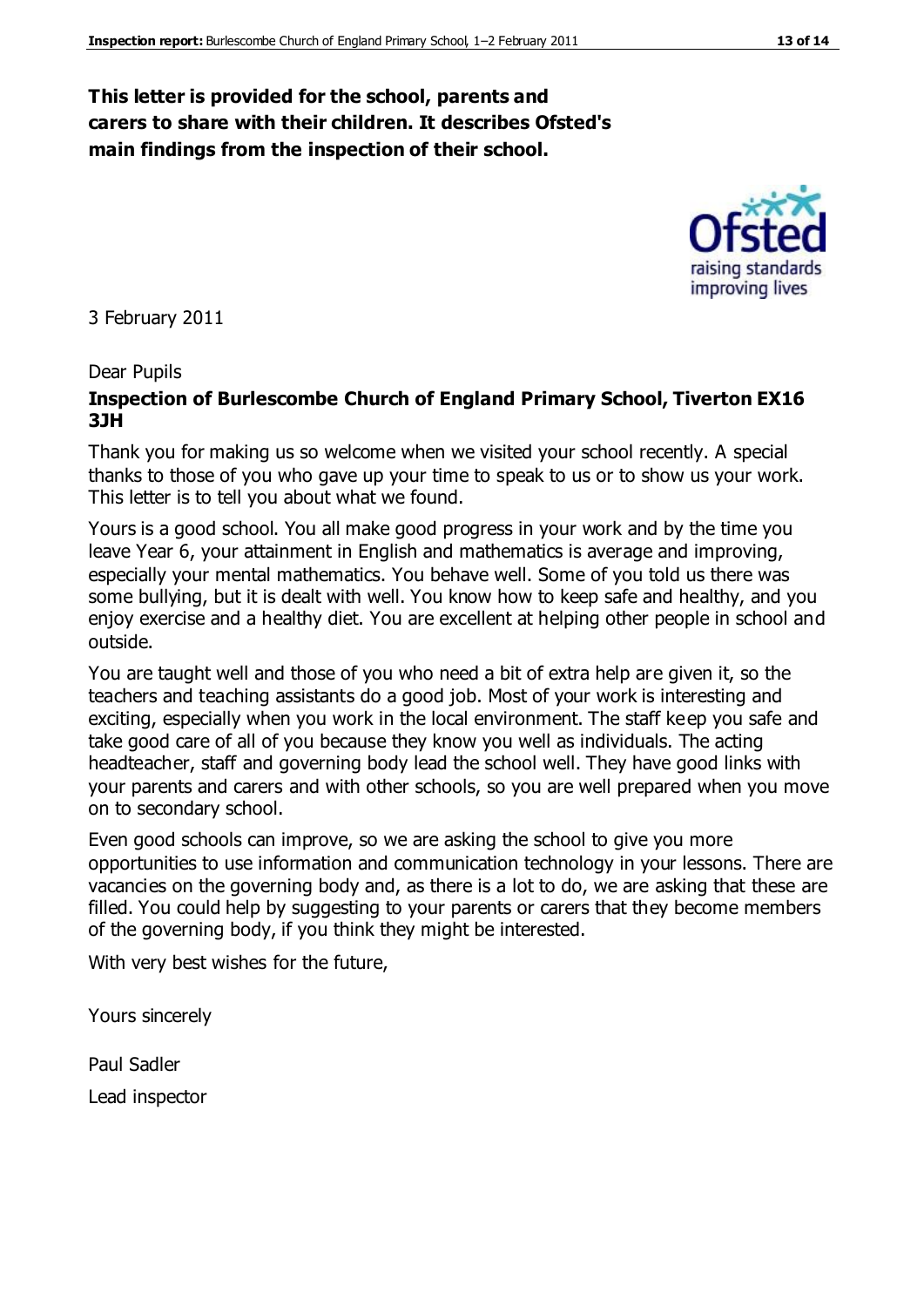#### **This letter is provided for the school, parents and carers to share with their children. It describes Ofsted's main findings from the inspection of their school.**

3 February 2011

#### Dear Pupils

#### **Inspection of Burlescombe Church of England Primary School, Tiverton EX16 3JH**

Thank you for making us so welcome when we visited your school recently. A special thanks to those of you who gave up your time to speak to us or to show us your work. This letter is to tell you about what we found.

Yours is a good school. You all make good progress in your work and by the time you leave Year 6, your attainment in English and mathematics is average and improving, especially your mental mathematics. You behave well. Some of you told us there was some bullying, but it is dealt with well. You know how to keep safe and healthy, and you enjoy exercise and a healthy diet. You are excellent at helping other people in school and outside.

You are taught well and those of you who need a bit of extra help are given it, so the teachers and teaching assistants do a good job. Most of your work is interesting and exciting, especially when you work in the local environment. The staff keep you safe and take good care of all of you because they know you well as individuals. The acting headteacher, staff and governing body lead the school well. They have good links with your parents and carers and with other schools, so you are well prepared when you move on to secondary school.

Even good schools can improve, so we are asking the school to give you more opportunities to use information and communication technology in your lessons. There are vacancies on the governing body and, as there is a lot to do, we are asking that these are filled. You could help by suggesting to your parents or carers that they become members of the governing body, if you think they might be interested.

With very best wishes for the future,

Yours sincerely

Paul Sadler Lead inspector



raising standards improving lives